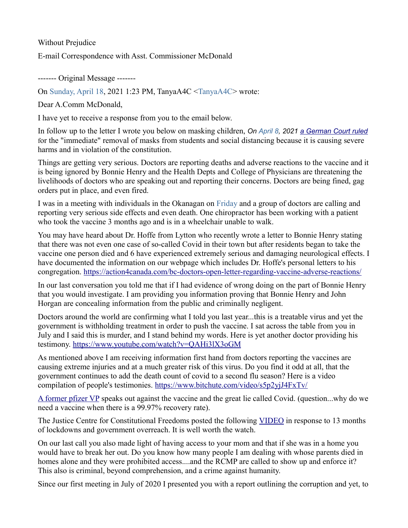Without Prejudice

E-mail Correspondence with Asst. Commissioner McDonald

‐‐‐‐‐‐‐ Original Message ‐‐‐‐‐‐‐

On Sunday, April 18, 2021 1:23 PM, TanyaA4C <TanyaA4C> wrote:

Dear A.Comm McDonald,

I have yet to receive a response from you to the email below.

In follow up to the letter I wrote you below on masking children, *On April 8, 2021 [a German Court ruled](https://docs.google.com/document/d/13tlF0vUYQBYba7_d-tam3cSt0dUDqlI1MeQvO0TbM_E/edit)* for the "immediate" removal of masks from students and social distancing because it is causing severe harms and in violation of the constitution.

Things are getting very serious. Doctors are reporting deaths and adverse reactions to the vaccine and it is being ignored by Bonnie Henry and the Health Depts and College of Physicians are threatening the livelihoods of doctors who are speaking out and reporting their concerns. Doctors are being fined, gag orders put in place, and even fired.

I was in a meeting with individuals in the Okanagan on Friday and a group of doctors are calling and reporting very serious side effects and even death. One chiropractor has been working with a patient who took the vaccine 3 months ago and is in a wheelchair unable to walk.

You may have heard about Dr. Hoffe from Lytton who recently wrote a letter to Bonnie Henry stating that there was not even one case of so-called Covid in their town but after residents began to take the vaccine one person died and 6 have experienced extremely serious and damaging neurological effects. I have documented the information on our webpage which includes Dr. Hoffe's personal letters to his congregation.<https://action4canada.com/bc-doctors-open-letter-regarding-vaccine-adverse-reactions/>

In our last conversation you told me that if I had evidence of wrong doing on the part of Bonnie Henry that you would investigate. I am providing you information proving that Bonnie Henry and John Horgan are concealing information from the public and criminally negligent.

Doctors around the world are confirming what I told you last year...this is a treatable virus and yet the government is withholding treatment in order to push the vaccine. I sat across the table from you in July and I said this is murder, and I stand behind my words. Here is yet another doctor providing his testimony.<https://www.youtube.com/watch> [?v=QAHi3lX3oGM](https://www.youtube.com/watch?v=QAHi3lX3oGM)

As mentioned above I am receiving information first hand from doctors reporting the vaccines are causing extreme injuries and at a much greater risk of this virus. Do you find it odd at all, that the government continues to add the death count of covid to a second flu season? Here is a video compilation of people's testimonies.<https://www.bitchute.com/video/s5p2yjJ4FxTv/>

[A former pfizer VP](https://www.lifesitenews.com/news/exclusive-former-pfizer-vp-your-government-is-lying-to-you-in-a-way-that-could-lead-to-your-death) speaks out against the vaccine and the great lie called Covid. (question...why do we need a vaccine when there is a 99.97% recovery rate).

The Justice Centre for Constitutional Freedoms posted the following [VIDEO](https://www.bitchute.com/video/QZ8Y0Dz5gACm/) in response to 13 months of lockdowns and government overreach. It is well worth the watch.

On our last call you also made light of having access to your mom and that if she was in a home you would have to break her out. Do you know how many people I am dealing with whose parents died in homes alone and they were prohibited access....and the RCMP are called to show up and enforce it? This also is criminal, beyond comprehension, and a crime against humanity.

Since our first meeting in July of 2020 I presented you with a report outlining the corruption and yet, to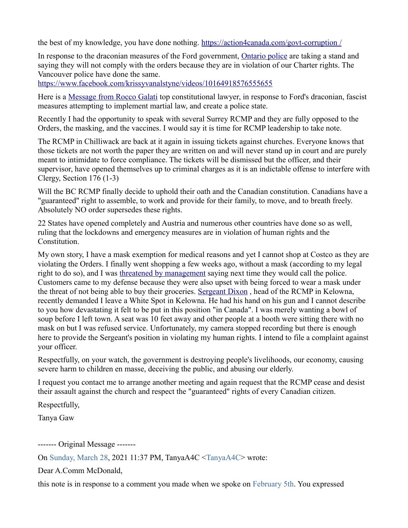the best of my knowledge, you have done nothing.<https://action4canada.com/govt-corruption> [/](https://action4canada.com/govt-corruption/)

In response to the draconian measures of the Ford government, [Ontario police](https://tnc.news/2021/04/17/ontario-police-refuse-new-power-to-stop-and-question-residents/) are taking a stand and saying they will not comply with the orders because they are in violation of our Charter rights. The Vancouver police have done the same.

<https://www.facebook.com/krissyvanalstyne/videos/10164918576555655>

Here is a [Message from Rocco Galati](https://muse.ai/v/zZPX1D7-CLIP-Rajie-Rocco-Impromptu-Video-Reaction-to-New-Restrictions-Announcement?fbclid=IwAR0JhJgRnTJRCx8H3HkHzXIMUcLKc1XlUm0DgZr1dpl6pM18b2be6g_No-o) top constitutional lawyer, in response to Ford's draconian, fascist measures attempting to implement martial law, and create a police state.

Recently I had the opportunity to speak with several Surrey RCMP and they are fully opposed to the Orders, the masking, and the vaccines. I would say it is time for RCMP leadership to take note.

The RCMP in Chilliwack are back at it again in issuing tickets against churches. Everyone knows that those tickets are not worth the paper they are written on and will never stand up in court and are purely meant to intimidate to force compliance. The tickets will be dismissed but the officer, and their supervisor, have opened themselves up to criminal charges as it is an indictable offense to interfere with Clergy, Section 176 (1-3)

Will the BC RCMP finally decide to uphold their oath and the Canadian constitution. Canadians have a "guaranteed" right to assemble, to work and provide for their family, to move, and to breath freely. Absolutely NO order supersedes these rights.

22 States have opened completely and Austria and numerous other countries have done so as well, ruling that the lockdowns and emergency measures are in violation of human rights and the Constitution.

My own story, I have a mask exemption for medical reasons and yet I cannot shop at Costco as they are violating the Orders. I finally went shopping a few weeks ago, without a mask (according to my legal right to do so), and I was [threatened by management](https://www.youtube.com/watch?v=8FMI0HCKiuU&lc=UgyGBI5ErRu0wBAIO5R4AaABAg) saying next time they would call the police. Customers came to my defense because they were also upset with being forced to wear a mask under the threat of not being able to buy their groceries. [Sergeant Dixon](https://www.youtube.com/watch?v=aV5e_iXJDP4) , head of the RCMP in Kelowna, recently demanded I leave a White Spot in Kelowna. He had his hand on his gun and I cannot describe to you how devastating it felt to be put in this position "in Canada". I was merely wanting a bowl of soup before I left town. A seat was 10 feet away and other people at a booth were sitting there with no mask on but I was refused service. Unfortunately, my camera stopped recording but there is enough here to provide the Sergeant's position in violating my human rights. I intend to file a complaint against your officer.

Respectfully, on your watch, the government is destroying people's livelihoods, our economy, causing severe harm to children en masse, deceiving the public, and abusing our elderly.

I request you contact me to arrange another meeting and again request that the RCMP cease and desist their assault against the church and respect the "guaranteed" rights of every Canadian citizen.

Respectfully,

Tanya Gaw

‐‐‐‐‐‐‐ Original Message ‐‐‐‐‐‐‐

On Sunday, March 28, 2021 11:37 PM, TanyaA4C <TanyaA4C> wrote:

Dear A.Comm McDonald,

this note is in response to a comment you made when we spoke on February 5th. You expressed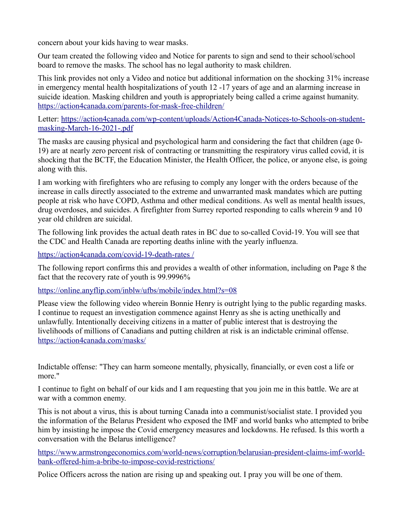concern about your kids having to wear masks.

Our team created the following video and Notice for parents to sign and send to their school/school board to remove the masks. The school has no legal authority to mask children.

This link provides not only a Video and notice but additional information on the shocking 31% increase in emergency mental health hospitalizations of youth 12 -17 years of age and an alarming increase in suicide ideation. Masking children and youth is appropriately being called a crime against humanity. <https://action4canada.com/parents-for-mask-free-children/>

Letter: [https://action4canada.com/wp-content/uploads/Action4Canada-Notices-to-Schools-on-student](https://action4canada.com/wp-content/uploads/Action4Canada-Notices-to-Schools-on-student-masking-March-16-2021-.pdf)[masking-March-16-2021-.pdf](https://action4canada.com/wp-content/uploads/Action4Canada-Notices-to-Schools-on-student-masking-March-16-2021-.pdf)

The masks are causing physical and psychological harm and considering the fact that children (age 0- 19) are at nearly zero percent risk of contracting or transmitting the respiratory virus called covid, it is shocking that the BCTF, the Education Minister, the Health Officer, the police, or anyone else, is going along with this.

I am working with firefighters who are refusing to comply any longer with the orders because of the increase in calls directly associated to the extreme and unwarranted mask mandates which are putting people at risk who have COPD, Asthma and other medical conditions. As well as mental health issues, drug overdoses, and suicides. A firefighter from Surrey reported responding to calls wherein 9 and 10 year old children are suicidal.

The following link provides the actual death rates in BC due to so-called Covid-19. You will see that the CDC and Health Canada are reporting deaths inline with the yearly influenza.

<https://action4canada.com/covid-19-death-rates> [/](https://action4canada.com/covid-19-death-rates/)

The following report confirms this and provides a wealth of other information, including on Page 8 the fact that the recovery rate of youth is 99.9996%

<https://online.anyflip.com/inblw/ufbs/mobile/index.html?s=08>

Please view the following video wherein Bonnie Henry is outright lying to the public regarding masks. I continue to request an investigation commence against Henry as she is acting unethically and unlawfully. Intentionally deceiving citizens in a matter of public interest that is destroying the livelihoods of millions of Canadians and putting children at risk is an indictable criminal offense. <https://action4canada.com/masks/>

Indictable offense: "They can harm someone mentally, physically, financially, or even cost a life or more."

I continue to fight on behalf of our kids and I am requesting that you join me in this battle. We are at war with a common enemy.

This is not about a virus, this is about turning Canada into a communist/socialist state. I provided you the information of the Belarus President who exposed the IMF and world banks who attempted to bribe him by insisting he impose the Covid emergency measures and lockdowns. He refused. Is this worth a conversation with the Belarus intelligence?

[https://www.armstrongeconomics.com/world-news/corruption/belarusian-president-claims-imf-world](https://www.armstrongeconomics.com/world-news/corruption/belarusian-president-claims-imf-world-bank-offered-him-a-bribe-to-impose-covid-restrictions/)[bank-offered-him-a-bribe-to-impose-covid-restrictions/](https://www.armstrongeconomics.com/world-news/corruption/belarusian-president-claims-imf-world-bank-offered-him-a-bribe-to-impose-covid-restrictions/)

Police Officers across the nation are rising up and speaking out. I pray you will be one of them.